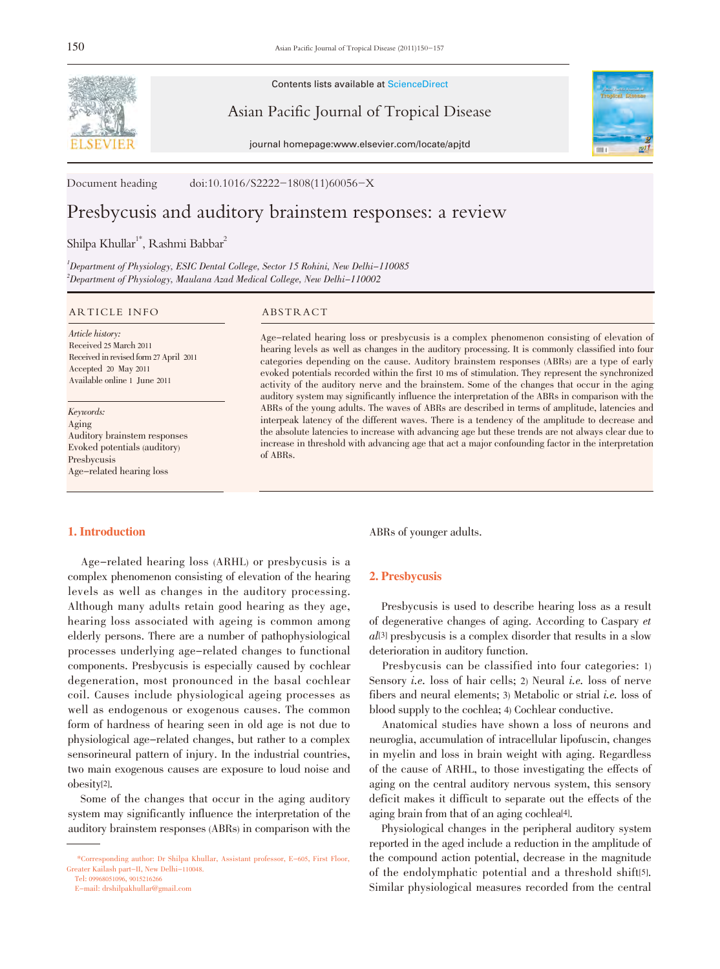

Contents lists available at ScienceDirect

Asian Pacific Journal of Tropical Disease

journal homepage:www.elsevier.com/locate/apjtd



Document heading doi:10.1016/S2222-1808(11)60056-X

# Presbycusis and auditory brainstem responses: a review

# Shilpa Khullar<sup>1\*</sup>, Rashmi Babbar<sup>2</sup>

<sup>1</sup>Department of Physiology, ESIC Dental College, Sector 15 Rohini, New Delhi-110085  $^2$ Department of Physiology, Maulana Azad Medical College, New Delhi $-110002$ 

#### ARTICLE INFO ABSTRACT

Article history: Received 25 March 2011 Received in revised form 27 April 2011 Accepted 20 May 2011 Available online 1 June 2011

Keywords: Aging Auditory brainstem responses Evoked potentials (auditory) Presbycusis Age-related hearing loss

# 1. Introduction

 Age-related hearing loss (ARHL) or presbycusis is a complex phenomenon consisting of elevation of the hearing levels as well as changes in the auditory processing. Although many adults retain good hearing as they age, hearing loss associated with ageing is common among elderly persons. There are a number of pathophysiological processes underlying age-related changes to functional components. Presbycusis is especially caused by cochlear degeneration, most pronounced in the basal cochlear coil. Causes include physiological ageing processes as well as endogenous or exogenous causes. The common form of hardness of hearing seen in old age is not due to physiological age-related changes, but rather to a complex sensorineural pattern of injury. In the industrial countries, two main exogenous causes are exposure to loud noise and obesity[2].

 Some of the changes that occur in the aging auditory system may significantly influence the interpretation of the auditory brainstem responses (ABRs) in comparison with the

Tel: 09968051096, 9015216266

E-mail: drshilpakhullar@gmail.com

Age-related hearing loss or presbycusis is a complex phenomenon consisting of elevation of hearing levels as well as changes in the auditory processing. It is commonly classified into four categories depending on the cause. Auditory brainstem responses (ABRs) are a type of early evoked potentials recorded within the first 10 ms of stimulation. They represent the synchronized activity of the auditory nerve and the brainstem. Some of the changes that occur in the aging auditory system may significantly influence the interpretation of the ABRs in comparison with the ABRs of the young adults. The waves of ABRs are described in terms of amplitude, latencies and interpeak latency of the different waves. There is a tendency of the amplitude to decrease and the absolute latencies to increase with advancing age but these trends are not always clear due to increase in threshold with advancing age that act a major confounding factor in the interpretation of ABRs.

ABRs of younger adults.

# 2. Presbycusis

 Presbycusis is used to describe hearing loss as a result of degenerative changes of aging. According to Caspary et al[3] presbycusis is a complex disorder that results in a slow deterioration in auditory function.

 Presbycusis can be classified into four categories: 1) Sensory *i.e.* loss of hair cells; 2) Neural *i.e.* loss of nerve fibers and neural elements; 3) Metabolic or strial i.e. loss of blood supply to the cochlea; 4) Cochlear conductive.

 Anatomical studies have shown a loss of neurons and neuroglia, accumulation of intracellular lipofuscin, changes in myelin and loss in brain weight with aging. Regardless of the cause of ARHL, to those investigating the effects of aging on the central auditory nervous system, this sensory deficit makes it difficult to separate out the effects of the aging brain from that of an aging cochlea[4].

 Physiological changes in the peripheral auditory system reported in the aged include a reduction in the amplitude of the compound action potential, decrease in the magnitude of the endolymphatic potential and a threshold shift[5]. Similar physiological measures recorded from the central

 <sup>\*</sup>Corresponding author: Dr Shilpa Khullar, Assistant professor, E-605, First Floor, Greater Kailash part-II, New Delhi-110048.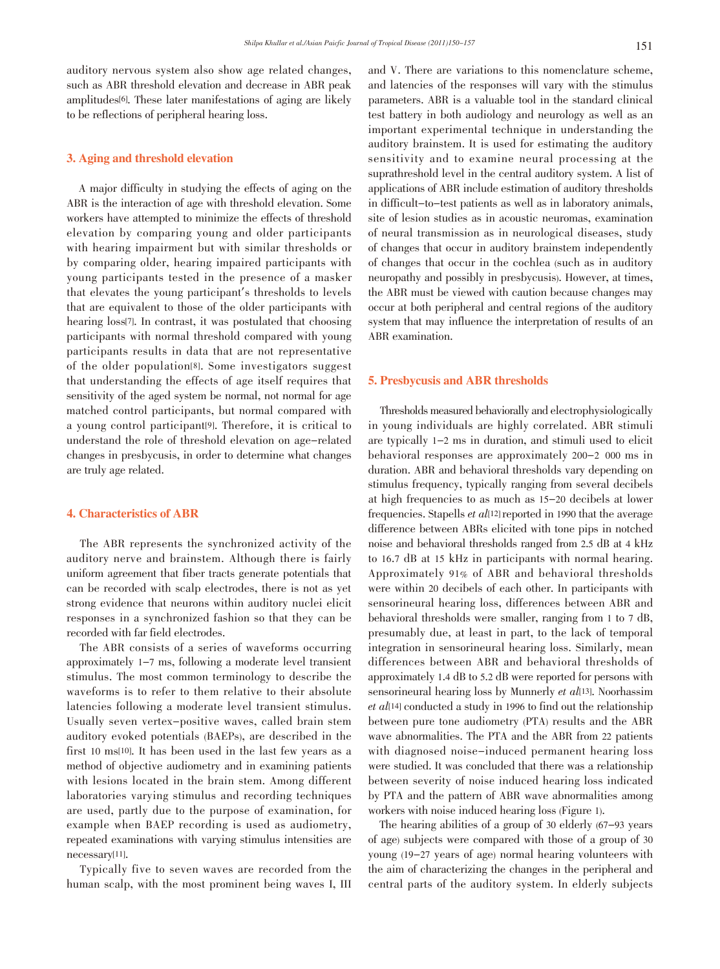auditory nervous system also show age related changes, such as ABR threshold elevation and decrease in ABR peak amplitudes[6]. These later manifestations of aging are likely to be reflections of peripheral hearing loss.

## 3. Aging and threshold elevation

 A major difficulty in studying the effects of aging on the ABR is the interaction of age with threshold elevation. Some workers have attempted to minimize the effects of threshold elevation by comparing young and older participants with hearing impairment but with similar thresholds or by comparing older, hearing impaired participants with young participants tested in the presence of a masker that elevates the young participant's thresholds to levels that are equivalent to those of the older participants with hearing loss[7]. In contrast, it was postulated that choosing participants with normal threshold compared with young participants results in data that are not representative of the older population[8]. Some investigators suggest that understanding the effects of age itself requires that sensitivity of the aged system be normal, not normal for age matched control participants, but normal compared with a young control participant[9]. Therefore, it is critical to understand the role of threshold elevation on age-related changes in presbycusis, in order to determine what changes are truly age related.

# 4. Characteristics of ABR

 The ABR represents the synchronized activity of the auditory nerve and brainstem. Although there is fairly uniform agreement that fiber tracts generate potentials that can be recorded with scalp electrodes, there is not as yet strong evidence that neurons within auditory nuclei elicit responses in a synchronized fashion so that they can be recorded with far field electrodes.

 The ABR consists of a series of waveforms occurring approximately 1-7 ms, following a moderate level transient stimulus. The most common terminology to describe the waveforms is to refer to them relative to their absolute latencies following a moderate level transient stimulus. Usually seven vertex-positive waves, called brain stem auditory evoked potentials (BAEPs), are described in the first 10 ms[10]. It has been used in the last few years as a method of objective audiometry and in examining patients with lesions located in the brain stem. Among different laboratories varying stimulus and recording techniques are used, partly due to the purpose of examination, for example when BAEP recording is used as audiometry, repeated examinations with varying stimulus intensities are necessary[11].

 Typically five to seven waves are recorded from the human scalp, with the most prominent being waves I, III

and V. There are variations to this nomenclature scheme, and latencies of the responses will vary with the stimulus parameters. ABR is a valuable tool in the standard clinical test battery in both audiology and neurology as well as an important experimental technique in understanding the auditory brainstem. It is used for estimating the auditory sensitivity and to examine neural processing at the suprathreshold level in the central auditory system. A list of applications of ABR include estimation of auditory thresholds in difficult-to-test patients as well as in laboratory animals, site of lesion studies as in acoustic neuromas, examination of neural transmission as in neurological diseases, study of changes that occur in auditory brainstem independently of changes that occur in the cochlea (such as in auditory neuropathy and possibly in presbycusis). However, at times, the ABR must be viewed with caution because changes may occur at both peripheral and central regions of the auditory system that may influence the interpretation of results of an ABR examination.

# 5. Presbycusis and ABR thresholds

 Thresholds measured behaviorally and electrophysiologically in young individuals are highly correlated. ABR stimuli are typically 1-2 ms in duration, and stimuli used to elicit behavioral responses are approximately 200-2 000 ms in duration. ABR and behavioral thresholds vary depending on stimulus frequency, typically ranging from several decibels at high frequencies to as much as 15-20 decibels at lower frequencies. Stapells et al[12] reported in 1990 that the average difference between ABRs elicited with tone pips in notched noise and behavioral thresholds ranged from 2.5 dB at 4 kHz to 16.7 dB at 15 kHz in participants with normal hearing. Approximately 91% of ABR and behavioral thresholds were within 20 decibels of each other. In participants with sensorineural hearing loss, differences between ABR and behavioral thresholds were smaller, ranging from 1 to 7 dB, presumably due, at least in part, to the lack of temporal integration in sensorineural hearing loss. Similarly, mean differences between ABR and behavioral thresholds of approximately 1.4 dB to 5.2 dB were reported for persons with sensorineural hearing loss by Munnerly et al[13]. Noorhassim  $et \text{ all } 14$  conducted a study in 1996 to find out the relationship between pure tone audiometry (PTA) results and the ABR wave abnormalities. The PTA and the ABR from 22 patients with diagnosed noise-induced permanent hearing loss were studied. It was concluded that there was a relationship between severity of noise induced hearing loss indicated by PTA and the pattern of ABR wave abnormalities among workers with noise induced hearing loss (Figure 1).

 The hearing abilities of a group of 30 elderly (67-93 years of age) subjects were compared with those of a group of 30 young (19-27 years of age) normal hearing volunteers with the aim of characterizing the changes in the peripheral and central parts of the auditory system. In elderly subjects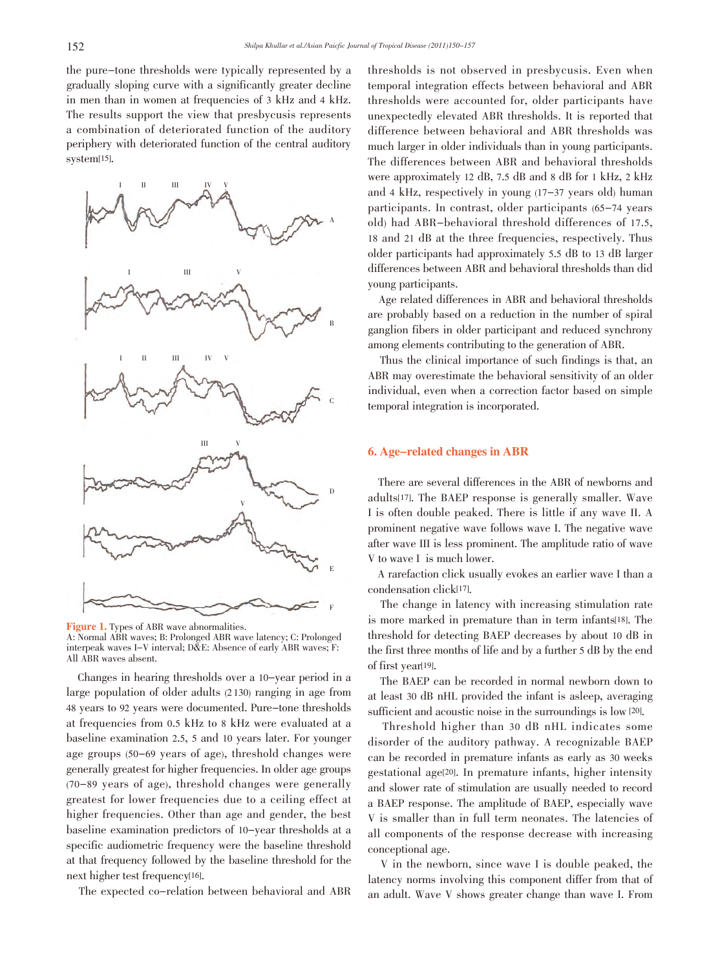the pure-tone thresholds were typically represented by a gradually sloping curve with a significantly greater decline in men than in women at frequencies of 3 kHz and 4 kHz. The results support the view that presbycusis represents a combination of deteriorated function of the auditory periphery with deteriorated function of the central auditory system[15].



Figure 1. Types of ABR wave abnormalities. A: Normal ABR waves; B: Prolonged ABR wave latency; C: Prolonged interpeak waves I-V interval; D&E: Absence of early ABR waves; F: All ABR waves absent.

 Changes in hearing thresholds over a 10-year period in a large population of older adults (2 130) ranging in age from 48 years to 92 years were documented. Pure-tone thresholds at frequencies from 0.5 kHz to 8 kHz were evaluated at a baseline examination 2.5, 5 and 10 years later. For younger age groups (50-69 years of age), threshold changes were generally greatest for higher frequencies. In older age groups (70-89 years of age), threshold changes were generally greatest for lower frequencies due to a ceiling effect at higher frequencies. Other than age and gender, the best baseline examination predictors of 10-year thresholds at a specific audiometric frequency were the baseline threshold at that frequency followed by the baseline threshold for the next higher test frequency[16].

The expected co-relation between behavioral and ABR

thresholds is not observed in presbycusis. Even when temporal integration effects between behavioral and ABR thresholds were accounted for, older participants have unexpectedly elevated ABR thresholds. It is reported that difference between behavioral and ABR thresholds was much larger in older individuals than in young participants. The differences between ABR and behavioral thresholds were approximately 12 dB, 7.5 dB and 8 dB for 1 kHz, 2 kHz and 4 kHz, respectively in young (17-37 years old) human participants. In contrast, older participants (65-74 years old) had ABR-behavioral threshold differences of 17.5, 18 and 21 dB at the three frequencies, respectively. Thus older participants had approximately 5.5 dB to 13 dB larger differences between ABR and behavioral thresholds than did young participants.

 Age related differences in ABR and behavioral thresholds are probably based on a reduction in the number of spiral ganglion fibers in older participant and reduced synchrony among elements contributing to the generation of ABR.

 Thus the clinical importance of such findings is that, an ABR may overestimate the behavioral sensitivity of an older individual, even when a correction factor based on simple temporal integration is incorporated.

# 6. Age-related changes in ABR

 There are several differences in the ABR of newborns and adults[17]. The BAEP response is generally smaller. Wave I is often double peaked. There is little if any wave II. A prominent negative wave follows wave I. The negative wave after wave III is less prominent. The amplitude ratio of wave V to wave I is much lower.

 A rarefaction click usually evokes an earlier wave I than a condensation click[17].

 The change in latency with increasing stimulation rate is more marked in premature than in term infants[18]. The threshold for detecting BAEP decreases by about 10 dB in the first three months of life and by a further 5 dB by the end of first year[19].

 The BAEP can be recorded in normal newborn down to at least 30 dB nHL provided the infant is asleep, averaging sufficient and acoustic noise in the surroundings is low [20].

 Threshold higher than 30 dB nHL indicates some disorder of the auditory pathway. A recognizable BAEP can be recorded in premature infants as early as 30 weeks gestational age[20]. In premature infants, higher intensity and slower rate of stimulation are usually needed to record a BAEP response. The amplitude of BAEP, especially wave V is smaller than in full term neonates. The latencies of all components of the response decrease with increasing conceptional age.

 V in the newborn, since wave I is double peaked, the latency norms involving this component differ from that of an adult. Wave V shows greater change than wave I. From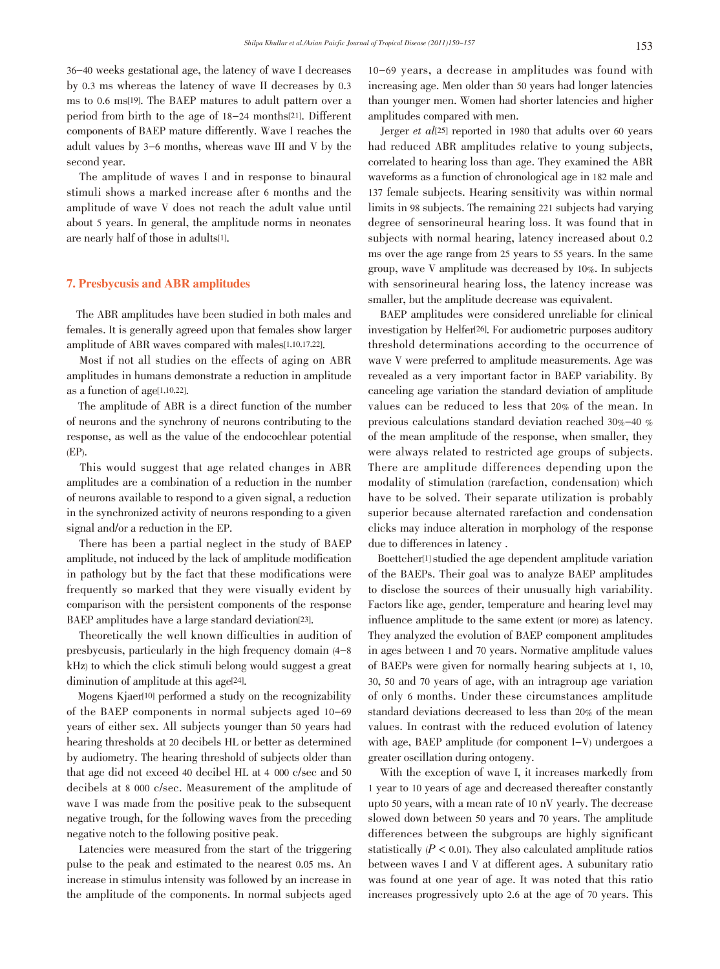36-40 weeks gestational age, the latency of wave I decreases by 0.3 ms whereas the latency of wave II decreases by 0.3 ms to 0.6 ms[19]. The BAEP matures to adult pattern over a period from birth to the age of 18-24 months[21]. Different components of BAEP mature differently. Wave I reaches the adult values by 3-6 months, whereas wave III and V by the second year.

 The amplitude of waves I and in response to binaural stimuli shows a marked increase after 6 months and the amplitude of wave V does not reach the adult value until about 5 years. In general, the amplitude norms in neonates are nearly half of those in adults[1].

# 7. Presbycusis and ABR amplitudes

 The ABR amplitudes have been studied in both males and females. It is generally agreed upon that females show larger amplitude of ABR waves compared with males[1,10,17,22].

 Most if not all studies on the effects of aging on ABR amplitudes in humans demonstrate a reduction in amplitude as a function of age[1,10,22].

 The amplitude of ABR is a direct function of the number of neurons and the synchrony of neurons contributing to the response, as well as the value of the endocochlear potential (EP).

 This would suggest that age related changes in ABR amplitudes are a combination of a reduction in the number of neurons available to respond to a given signal, a reduction in the synchronized activity of neurons responding to a given signal and/or a reduction in the EP.

 There has been a partial neglect in the study of BAEP amplitude, not induced by the lack of amplitude modification in pathology but by the fact that these modifications were frequently so marked that they were visually evident by comparison with the persistent components of the response BAEP amplitudes have a large standard deviation[23].

 Theoretically the well known difficulties in audition of presbycusis, particularly in the high frequency domain (4-8 kHz) to which the click stimuli belong would suggest a great diminution of amplitude at this age<sup>[24]</sup>.

 Mogens Kjaer[10] performed a study on the recognizability of the BAEP components in normal subjects aged 10-69 years of either sex. All subjects younger than 50 years had hearing thresholds at 20 decibels HL or better as determined by audiometry. The hearing threshold of subjects older than that age did not exceed 40 decibel HL at 4 000 c/sec and 50 decibels at 8 000 c/sec. Measurement of the amplitude of wave I was made from the positive peak to the subsequent negative trough, for the following waves from the preceding negative notch to the following positive peak.

 Latencies were measured from the start of the triggering pulse to the peak and estimated to the nearest 0.05 ms. An increase in stimulus intensity was followed by an increase in the amplitude of the components. In normal subjects aged

10-69 years, a decrease in amplitudes was found with increasing age. Men older than 50 years had longer latencies than younger men. Women had shorter latencies and higher amplitudes compared with men.

Jerger et al<sup>[25]</sup> reported in 1980 that adults over 60 years had reduced ABR amplitudes relative to young subjects, correlated to hearing loss than age. They examined the ABR waveforms as a function of chronological age in 182 male and 137 female subjects. Hearing sensitivity was within normal limits in 98 subjects. The remaining 221 subjects had varying degree of sensorineural hearing loss. It was found that in subjects with normal hearing, latency increased about 0.2 ms over the age range from 25 years to 55 years. In the same group, wave V amplitude was decreased by 10%. In subjects with sensorineural hearing loss, the latency increase was smaller, but the amplitude decrease was equivalent.

 BAEP amplitudes were considered unreliable for clinical investigation by Helfer<sup>[26]</sup>. For audiometric purposes auditory threshold determinations according to the occurrence of wave V were preferred to amplitude measurements. Age was revealed as a very important factor in BAEP variability. By canceling age variation the standard deviation of amplitude values can be reduced to less that 20% of the mean. In previous calculations standard deviation reached 30%-40 % of the mean amplitude of the response, when smaller, they were always related to restricted age groups of subjects. There are amplitude differences depending upon the modality of stimulation (rarefaction, condensation) which have to be solved. Their separate utilization is probably superior because alternated rarefaction and condensation clicks may induce alteration in morphology of the response due to differences in latency .

 Boettcher[1] studied the age dependent amplitude variation of the BAEPs. Their goal was to analyze BAEP amplitudes to disclose the sources of their unusually high variability. Factors like age, gender, temperature and hearing level may influence amplitude to the same extent (or more) as latency. They analyzed the evolution of BAEP component amplitudes in ages between 1 and 70 years. Normative amplitude values of BAEPs were given for normally hearing subjects at 1, 10, 30, 50 and 70 years of age, with an intragroup age variation of only 6 months. Under these circumstances amplitude standard deviations decreased to less than 20% of the mean values. In contrast with the reduced evolution of latency with age, BAEP amplitude (for component I-V) undergoes a greater oscillation during ontogeny.

 With the exception of wave I, it increases markedly from 1 year to 10 years of age and decreased thereafter constantly upto 50 years, with a mean rate of 10 nV yearly. The decrease slowed down between 50 years and 70 years. The amplitude differences between the subgroups are highly significant statistically  $(P < 0.01)$ . They also calculated amplitude ratios between waves I and V at different ages. A subunitary ratio was found at one year of age. It was noted that this ratio increases progressively upto 2.6 at the age of 70 years. This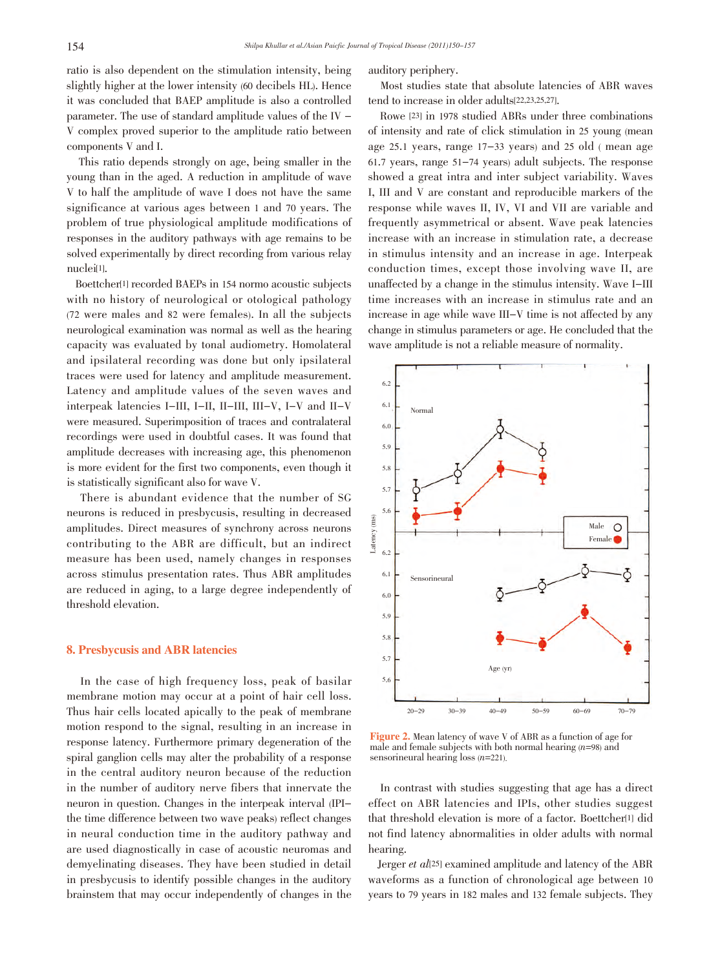ratio is also dependent on the stimulation intensity, being slightly higher at the lower intensity (60 decibels HL). Hence it was concluded that BAEP amplitude is also a controlled parameter. The use of standard amplitude values of the IV - V complex proved superior to the amplitude ratio between components V and I.

 This ratio depends strongly on age, being smaller in the young than in the aged. A reduction in amplitude of wave V to half the amplitude of wave I does not have the same significance at various ages between 1 and 70 years. The problem of true physiological amplitude modifications of responses in the auditory pathways with age remains to be solved experimentally by direct recording from various relay nuclei[1].

 Boettcher[1] recorded BAEPs in 154 normo acoustic subjects with no history of neurological or otological pathology (72 were males and 82 were females). In all the subjects neurological examination was normal as well as the hearing capacity was evaluated by tonal audiometry. Homolateral and ipsilateral recording was done but only ipsilateral traces were used for latency and amplitude measurement. Latency and amplitude values of the seven waves and interpeak latencies I-III, I-II, II-III, III-V, I-V and II-V were measured. Superimposition of traces and contralateral recordings were used in doubtful cases. It was found that amplitude decreases with increasing age, this phenomenon is more evident for the first two components, even though it is statistically significant also for wave V.

 There is abundant evidence that the number of SG neurons is reduced in presbycusis, resulting in decreased amplitudes. Direct measures of synchrony across neurons contributing to the ABR are difficult, but an indirect measure has been used, namely changes in responses across stimulus presentation rates. Thus ABR amplitudes are reduced in aging, to a large degree independently of threshold elevation.

## 8. Presbycusis and ABR latencies

 In the case of high frequency loss, peak of basilar membrane motion may occur at a point of hair cell loss. Thus hair cells located apically to the peak of membrane motion respond to the signal, resulting in an increase in response latency. Furthermore primary degeneration of the spiral ganglion cells may alter the probability of a response in the central auditory neuron because of the reduction in the number of auditory nerve fibers that innervate the neuron in question. Changes in the interpeak interval (IPIthe time difference between two wave peaks) reflect changes in neural conduction time in the auditory pathway and are used diagnostically in case of acoustic neuromas and demyelinating diseases. They have been studied in detail in presbycusis to identify possible changes in the auditory brainstem that may occur independently of changes in the auditory periphery.

 Most studies state that absolute latencies of ABR waves tend to increase in older adults[22,23,25,27].

 Rowe [23] in 1978 studied ABRs under three combinations of intensity and rate of click stimulation in 25 young (mean age 25.1 years, range 17-33 years) and 25 old ( mean age 61.7 years, range 51-74 years) adult subjects. The response showed a great intra and inter subject variability. Waves I, III and V are constant and reproducible markers of the response while waves II, IV, VI and VII are variable and frequently asymmetrical or absent. Wave peak latencies increase with an increase in stimulation rate, a decrease in stimulus intensity and an increase in age. Interpeak conduction times, except those involving wave II, are unaffected by a change in the stimulus intensity. Wave I-III time increases with an increase in stimulus rate and an increase in age while wave III-V time is not affected by any change in stimulus parameters or age. He concluded that the wave amplitude is not a reliable measure of normality.



Figure 2. Mean latency of wave V of ABR as a function of age for male and female subjects with both normal hearing  $(n=98)$  and sensorineural hearing loss  $(n=221)$ .

 In contrast with studies suggesting that age has a direct effect on ABR latencies and IPIs, other studies suggest that threshold elevation is more of a factor. Boettcher<sup>[1]</sup> did not find latency abnormalities in older adults with normal hearing.

Jerger et al<sup>[25]</sup> examined amplitude and latency of the ABR waveforms as a function of chronological age between 10 years to 79 years in 182 males and 132 female subjects. They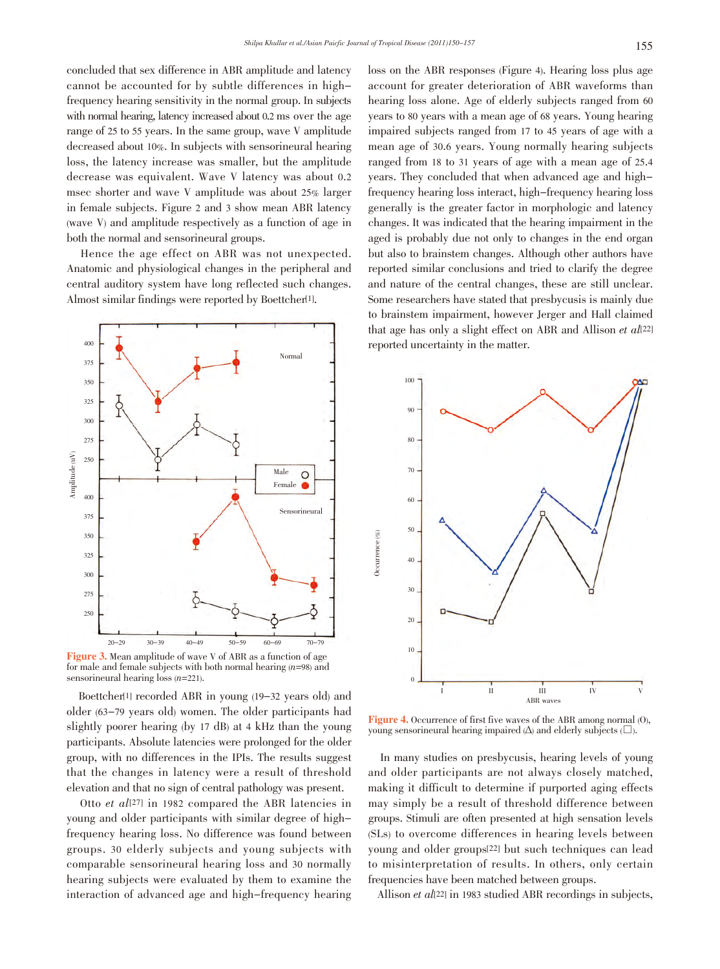concluded that sex difference in ABR amplitude and latency cannot be accounted for by subtle differences in highfrequency hearing sensitivity in the normal group. In subjects with normal hearing, latency increased about 0.2 ms over the age range of 25 to 55 years. In the same group, wave V amplitude decreased about 10%. In subjects with sensorineural hearing loss, the latency increase was smaller, but the amplitude decrease was equivalent. Wave V latency was about 0.2 msec shorter and wave V amplitude was about 25% larger in female subjects. Figure 2 and 3 show mean ABR latency (wave V) and amplitude respectively as a function of age in both the normal and sensorineural groups.

 Hence the age effect on ABR was not unexpected. Anatomic and physiological changes in the peripheral and central auditory system have long reflected such changes. Almost similar findings were reported by Boettcher[1].



Figure 3. Mean amplitude of wave V of ABR as a function of age for male and female subjects with both normal hearing  $(n=98)$  and sensorineural hearing  $\cos(n=221)$ .

 Boettcher[1] recorded ABR in young (19-32 years old) and older (63-79 years old) women. The older participants had slightly poorer hearing (by 17 dB) at 4 kHz than the young participants. Absolute latencies were prolonged for the older group, with no differences in the IPIs. The results suggest that the changes in latency were a result of threshold elevation and that no sign of central pathology was present.

Otto et  $al[27]$  in 1982 compared the ABR latencies in young and older participants with similar degree of highfrequency hearing loss. No difference was found between groups. 30 elderly subjects and young subjects with comparable sensorineural hearing loss and 30 normally hearing subjects were evaluated by them to examine the interaction of advanced age and high-frequency hearing loss on the ABR responses (Figure 4). Hearing loss plus age account for greater deterioration of ABR waveforms than hearing loss alone. Age of elderly subjects ranged from 60 years to 80 years with a mean age of 68 years. Young hearing impaired subjects ranged from 17 to 45 years of age with a mean age of 30.6 years. Young normally hearing subjects ranged from 18 to 31 years of age with a mean age of 25.4 years. They concluded that when advanced age and highfrequency hearing loss interact, high-frequency hearing loss generally is the greater factor in morphologic and latency changes. It was indicated that the hearing impairment in the aged is probably due not only to changes in the end organ but also to brainstem changes. Although other authors have reported similar conclusions and tried to clarify the degree and nature of the central changes, these are still unclear. Some researchers have stated that presbycusis is mainly due to brainstem impairment, however Jerger and Hall claimed that age has only a slight effect on ABR and Allison et  $all22]$ reported uncertainty in the matter.



Figure 4. Occurrence of first five waves of the ABR among normal (O), young sensorineural hearing impaired  $(\Delta)$  and elderly subjects  $(\Box)$ .

 In many studies on presbycusis, hearing levels of young and older participants are not always closely matched, making it difficult to determine if purported aging effects may simply be a result of threshold difference between groups. Stimuli are often presented at high sensation levels (SLs) to overcome differences in hearing levels between young and older groups[22] but such techniques can lead to misinterpretation of results. In others, only certain frequencies have been matched between groups.

Allison et al<sup>[22]</sup> in 1983 studied ABR recordings in subjects,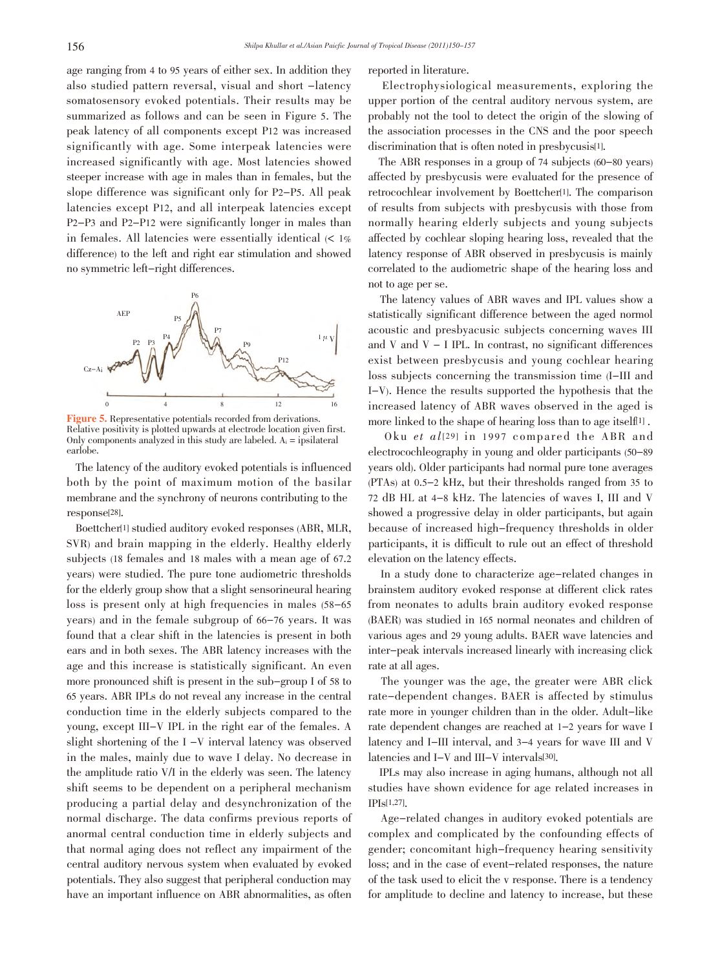age ranging from 4 to 95 years of either sex. In addition they also studied pattern reversal, visual and short -latency somatosensory evoked potentials. Their results may be summarized as follows and can be seen in Figure 5. The peak latency of all components except P12 was increased significantly with age. Some interpeak latencies were increased significantly with age. Most latencies showed steeper increase with age in males than in females, but the slope difference was significant only for P2-P5. All peak latencies except P12, and all interpeak latencies except P2-P3 and P2-P12 were significantly longer in males than in females. All latencies were essentially identical  $\langle \langle 1 \rangle$ difference) to the left and right ear stimulation and showed no symmetric left-right differences.



Figure 5. Representative potentials recorded from derivations. Relative positivity is plotted upwards at electrode location given first. Only components analyzed in this study are labeled.  $A_i$  = ipsilateral earlobe.

 The latency of the auditory evoked potentials is influenced both by the point of maximum motion of the basilar membrane and the synchrony of neurons contributing to the response[28].

 Boettcher[1] studied auditory evoked responses (ABR, MLR, SVR) and brain mapping in the elderly. Healthy elderly subjects (18 females and 18 males with a mean age of 67.2 years) were studied. The pure tone audiometric thresholds for the elderly group show that a slight sensorineural hearing loss is present only at high frequencies in males (58-65 years) and in the female subgroup of 66-76 years. It was found that a clear shift in the latencies is present in both ears and in both sexes. The ABR latency increases with the age and this increase is statistically significant. An even more pronounced shift is present in the sub-group I of 58 to 65 years. ABR IPLs do not reveal any increase in the central conduction time in the elderly subjects compared to the young, except III-V IPL in the right ear of the females. A slight shortening of the I -V interval latency was observed in the males, mainly due to wave I delay. No decrease in the amplitude ratio V/I in the elderly was seen. The latency shift seems to be dependent on a peripheral mechanism producing a partial delay and desynchronization of the normal discharge. The data confirms previous reports of anormal central conduction time in elderly subjects and that normal aging does not reflect any impairment of the central auditory nervous system when evaluated by evoked potentials. They also suggest that peripheral conduction may have an important influence on ABR abnormalities, as often reported in literature.

 Electrophysiological measurements, exploring the upper portion of the central auditory nervous system, are probably not the tool to detect the origin of the slowing of the association processes in the CNS and the poor speech discrimination that is often noted in presbycusis<sup>[1]</sup>.

 The ABR responses in a group of 74 subjects (60-80 years) affected by presbycusis were evaluated for the presence of retrocochlear involvement by Boettcher[1]. The comparison of results from subjects with presbycusis with those from normally hearing elderly subjects and young subjects affected by cochlear sloping hearing loss, revealed that the latency response of ABR observed in presbycusis is mainly correlated to the audiometric shape of the hearing loss and not to age per se.

 The latency values of ABR waves and IPL values show a statistically significant difference between the aged normol acoustic and presbyacusic subjects concerning waves III and V and  $V - I$  IPL. In contrast, no significant differences exist between presbycusis and young cochlear hearing loss subjects concerning the transmission time (I-III and I-V). Hence the results supported the hypothesis that the increased latency of ABR waves observed in the aged is more linked to the shape of hearing loss than to age itself[1] .

Oku et  $al[29]$  in 1997 compared the ABR and electrocochleography in young and older participants (50-89 years old). Older participants had normal pure tone averages (PTAs) at 0.5-2 kHz, but their thresholds ranged from 35 to 72 dB HL at 4-8 kHz. The latencies of waves I, III and V showed a progressive delay in older participants, but again because of increased high-frequency thresholds in older participants, it is difficult to rule out an effect of threshold elevation on the latency effects.

 In a study done to characterize age-related changes in brainstem auditory evoked response at different click rates from neonates to adults brain auditory evoked response (BAER) was studied in 165 normal neonates and children of various ages and 29 young adults. BAER wave latencies and inter-peak intervals increased linearly with increasing click rate at all ages.

 The younger was the age, the greater were ABR click rate-dependent changes. BAER is affected by stimulus rate more in younger children than in the older. Adult-like rate dependent changes are reached at 1-2 years for wave I latency and I-III interval, and 3-4 years for wave III and V latencies and I-V and III-V intervals[30].

 IPLs may also increase in aging humans, although not all studies have shown evidence for age related increases in IPIs[1,27].

 Age-related changes in auditory evoked potentials are complex and complicated by the confounding effects of gender; concomitant high-frequency hearing sensitivity loss; and in the case of event-related responses, the nature of the task used to elicit the v response. There is a tendency for amplitude to decline and latency to increase, but these